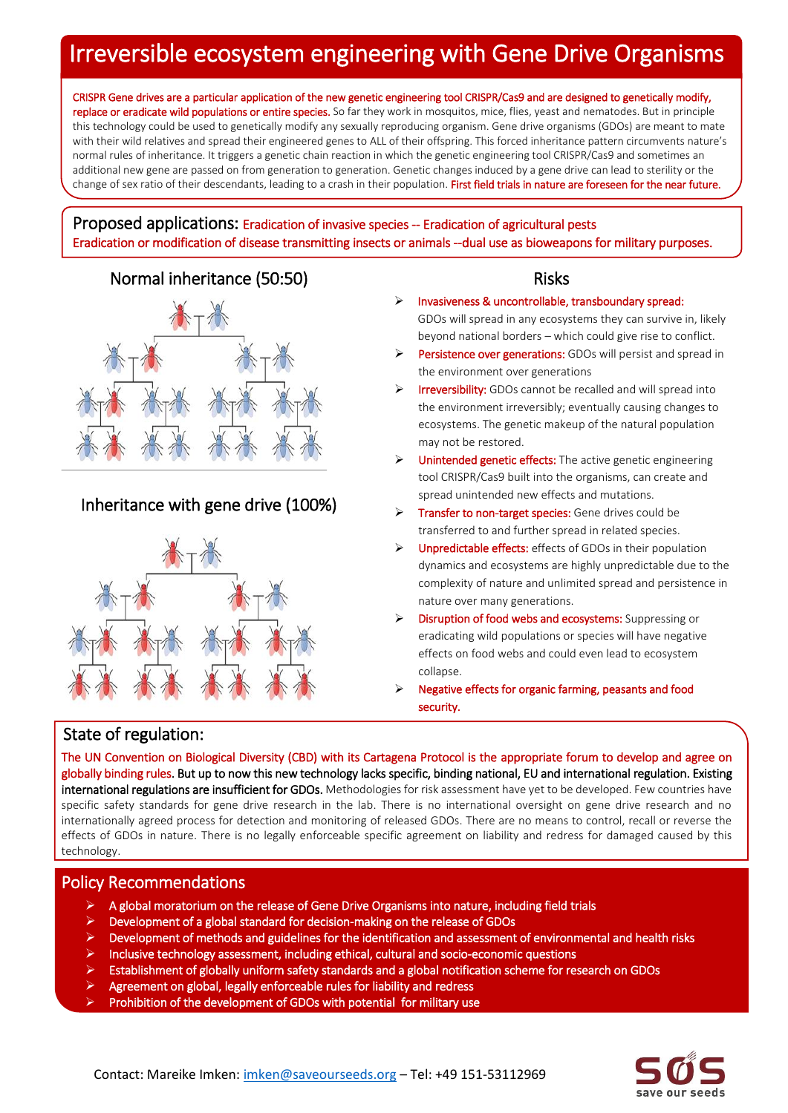# Irreversible ecosystem engineering with Gene Drive Organisms

CRISPR Gene drives are a particular application of the new genetic engineering tool CRISPR/Cas9 and are designed to genetically modify, replace or eradicate wild populations or entire species. So far they work in mosquitos, mice, flies, yeast and nematodes. But in principle this technology could be used to genetically modify any sexually reproducing organism. Gene drive organisms (GDOs) are meant to mate with their wild relatives and spread their engineered genes to ALL of their offspring. This forced inheritance pattern circumvents nature's normal rules of inheritance. It triggers a genetic chain reaction in which the genetic engineering tool CRISPR/Cas9 and sometimes an additional new gene are passed on from generation to generation. Genetic changes induced by a gene drive can lead to sterility or the change of sex ratio of their descendants, leading to a crash in their population. First field trials in nature are foreseen for the near future.

#### Proposed applications: Eradication of invasive species -- Eradication of agricultural pests Eradication or modification of disease transmitting insects or animals --dual use as bioweapons for military purposes.

## Normal inheritance (50:50) Risks



# Inheritance with gene drive (100%)



- Invasiveness & uncontrollable, transboundary spread: GDOs will spread in any ecosystems they can survive in, likely beyond national borders – which could give rise to conflict.
- Persistence over generations: GDOs will persist and spread in the environment over generations
- $\triangleright$  **Irreversibility:** GDOs cannot be recalled and will spread into the environment irreversibly; eventually causing changes to ecosystems. The genetic makeup of the natural population may not be restored.
- $\triangleright$  Unintended genetic effects: The active genetic engineering tool CRISPR/Cas9 built into the organisms, can create and spread unintended new effects and mutations.
- **Transfer to non-target species:** Gene drives could be transferred to and further spread in related species.
- $\triangleright$  Unpredictable effects: effects of GDOs in their population dynamics and ecosystems are highly unpredictable due to the complexity of nature and unlimited spread and persistence in nature over many generations.
- $\triangleright$  Disruption of food webs and ecosystems: Suppressing or eradicating wild populations or species will have negative effects on food webs and could even lead to ecosystem collapse.
- Negative effects for organic farming, peasants and food security.

## State of regulation:

The UN Convention on Biological Diversity (CBD) with its Cartagena Protocol is the appropriate forum to develop and agree on globally binding rules. But up to now this new technology lacks specific, binding national, EU and international regulation. Existing international regulations are insufficient for GDOs. Methodologies for risk assessment have yet to be developed. Few countries have specific safety standards for gene drive research in the lab. There is no international oversight on gene drive research and no internationally agreed process for detection and monitoring of released GDOs. There are no means to control, recall or reverse the effects of GDOs in nature. There is no legally enforceable specific agreement on liability and redress for damaged caused by this technology.

### Policy Recommendations

- A global moratorium on the release of Gene Drive Organisms into nature, including field trials
- Development of a global standard for decision-making on the release of GDOs
- Development of methods and guidelines for the identification and assessment of environmental and health risks
- Inclusive technology assessment, including ethical, cultural and socio-economic questions
- Establishment of globally uniform safety standards and a global notification scheme for research on GDOs
- Agreement on global, legally enforceable rules for liability and redress
- Prohibition of the development of GDOs with potential for military use